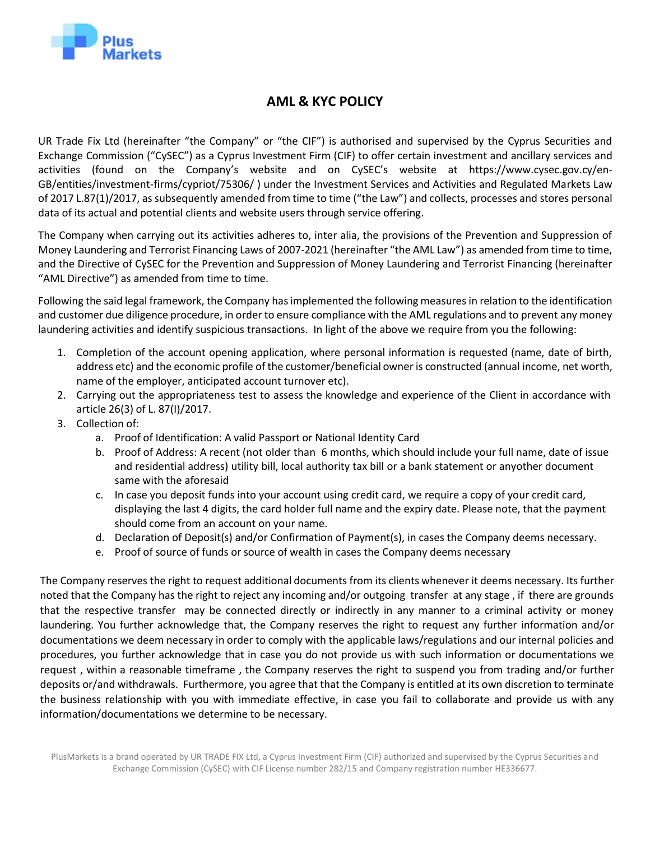

## **AML & KYC POLICY**

UR Trade Fix Ltd (hereinafter "the Company" or "the CIF") is authorised and supervised by the Cyprus Securities and Exchange Commission ("CySEC") as a Cyprus Investment Firm (CIF) to offer certain investment and ancillary services and activities (found on the Company's website and on CySEC's website at https:/[/www.cysec.gov.cy/en-](http://www.cysec.gov.cy/en-)GB/entities/investment-firms/cypriot/75306/ ) under the Investment Services and Activities and Regulated Markets Law of 2017 L.87(1)/2017, as subsequently amended from time to time ("the Law") and collects, processes and stores personal data of its actual and potential clients and website users through service offering.

The Company when carrying out its activities adheres to, inter alia, the provisions of the Prevention and Suppression of Money Laundering and Terrorist Financing Laws of 2007-2021 (hereinafter "the AML Law") as amended from time to time, and the Directive of CySEC for the Prevention and Suppression of Money Laundering and Terrorist Financing (hereinafter "AML Directive") as amended from time to time.

Following the said legal framework, the Company hasimplemented the following measures in relation to the identification and customer due diligence procedure, in order to ensure compliance with the AML regulations and to prevent any money laundering activities and identify suspicious transactions. In light of the above we require from you the following:

- 1. Completion of the account opening application, where personal information is requested (name, date of birth, address etc) and the economic profile of the customer/beneficial owner is constructed (annual income, net worth, name of the employer, anticipated account turnover etc).
- 2. Carrying out the appropriateness test to assess the knowledge and experience of the Client in accordance with article 26(3) of L. 87(Ι)/2017.
- 3. Collection of:
	- a. Proof of Identification: A valid Passport or National Identity Card
	- b. Proof of Address: A recent (not older than 6 months, which should include your full name, date of issue and residential address) utility bill, local authority tax bill or a bank statement or anyother document same with the aforesaid
	- c. In case you deposit funds into your account using credit card, we require a copy of your credit card, displaying the last 4 digits, the card holder full name and the expiry date. Please note, that the payment should come from an account on your name.
	- d. Declaration of Deposit(s) and/or Confirmation of Payment(s), in cases the Company deems necessary.
	- e. Proof of source of funds or source of wealth in cases the Company deems necessary

The Company reserves the right to request additional documents from its clients whenever it deems necessary. Its further noted that the Company has the right to reject any incoming and/or outgoing transfer at any stage , if there are grounds that the respective transfer may be connected directly or indirectly in any manner to a criminal activity or money laundering. You further acknowledge that, the Company reserves the right to request any further information and/or documentations we deem necessary in order to comply with the applicable laws/regulations and our internal policies and procedures, you further acknowledge that in case you do not provide us with such information or documentations we request , within a reasonable timeframe , the Company reserves the right to suspend you from trading and/or further deposits or/and withdrawals. Furthermore, you agree that that the Company is entitled at its own discretion to terminate the business relationship with you with immediate effective, in case you fail to collaborate and provide us with any information/documentations we determine to be necessary.